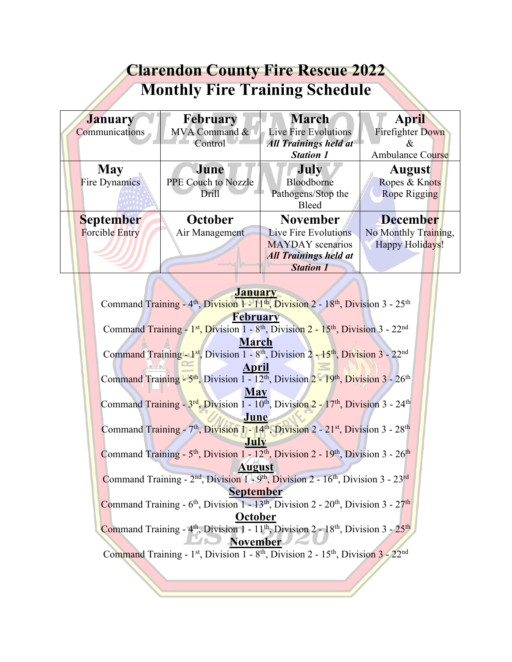| <b>Clarendon County Fire Rescue 2022</b> |                     |                              |                         |
|------------------------------------------|---------------------|------------------------------|-------------------------|
| <b>Monthly Fire Training Schedule</b>    |                     |                              |                         |
| <b>January</b>                           | <b>February</b>     | <b>March</b>                 | <b>April</b>            |
| Communications                           | MVA Command &       | Live Fire Evolutions         | <b>Firefighter Down</b> |
|                                          | Control             | <b>All Trainings held at</b> | &                       |
|                                          |                     | <b>Station 1</b>             | Ambulance Course        |
| <b>May</b>                               | June                | <b>July</b>                  | <b>August</b>           |
| <b>Fire Dynamics</b>                     | PPE Couch to Nozzle | Bloodborne                   | Ropes & Knots           |
|                                          | Drill               | Pathogens/Stop the           | <b>Rope Rigging</b>     |
|                                          |                     | <b>Bleed</b>                 |                         |
| <b>September</b>                         | October             | <b>November</b>              | <b>December</b>         |
| <b>Forcible Entry</b>                    | Air Management      | Live Fire Evolutions         | No Monthly Training,    |
|                                          |                     | <b>MAYDAY</b> scenarios      | Happy Holidays!         |
|                                          |                     | <b>All Trainings held at</b> |                         |
|                                          |                     | <b>Station 1</b>             |                         |

| <b>January</b>                                                                                                                     |  |  |  |
|------------------------------------------------------------------------------------------------------------------------------------|--|--|--|
| Command Training - 4 <sup>th</sup> , Division 1 - 11 <sup>th</sup> , Division 2 - 18 <sup>th</sup> , Division 3 - 25 <sup>th</sup> |  |  |  |
| <b>February</b>                                                                                                                    |  |  |  |
| Command Training - $1st$ , Division 1 - 8 <sup>th</sup> , Division 2 - $15th$ , Division 3 - $22nd$                                |  |  |  |
| March                                                                                                                              |  |  |  |
| Command Training - 1 <sup>st</sup> , Division 1 - 8 <sup>th</sup> , Division 2 - 15 <sup>th</sup> , Division 3 - 22 <sup>nd</sup>  |  |  |  |
| April                                                                                                                              |  |  |  |
| Command Training - 5 <sup>th</sup> , Division 1 - 12 <sup>th</sup> , Division 2 - 19 <sup>th</sup> , Division 3 - 26 <sup>th</sup> |  |  |  |
| <b>May</b>                                                                                                                         |  |  |  |
| Command Training - 3rd, Division 1 - 10 <sup>th</sup> , Division 2 - 17 <sup>th</sup> , Division 3 - 24 <sup>th</sup>              |  |  |  |
| June                                                                                                                               |  |  |  |
| Command Training - 7 <sup>th</sup> , Division 1 - 14 <sup>th</sup> , Division 2 - 21 <sup>st</sup> , Division 3 - 28 <sup>th</sup> |  |  |  |
| July                                                                                                                               |  |  |  |
| Command Training - $5th$ , Division 1 - $12th$ , Division 2 - $19th$ , Division 3 - $26th$                                         |  |  |  |
| <b>August</b>                                                                                                                      |  |  |  |
| Command Training - $2nd$ , Division $1 - 9th$ , Division $2 - 16th$ , Division $3 - 23rd$                                          |  |  |  |
| <b>September</b>                                                                                                                   |  |  |  |
| Command Training - $6th$ , Division 1 - 13 <sup>th</sup> , Division 2 - 20 <sup>th</sup> , Division 3 - 27 <sup>th</sup>           |  |  |  |
| October                                                                                                                            |  |  |  |
| Command Training - $4th$ , Division 1 - $11th$ , Division 2 - $18th$ , Division 3 - $25th$                                         |  |  |  |
| <b>November</b>                                                                                                                    |  |  |  |
| Command Training - 1st, Division 1 - 8th, Division 2 - 15th, Division 3 - 22nd                                                     |  |  |  |
|                                                                                                                                    |  |  |  |
|                                                                                                                                    |  |  |  |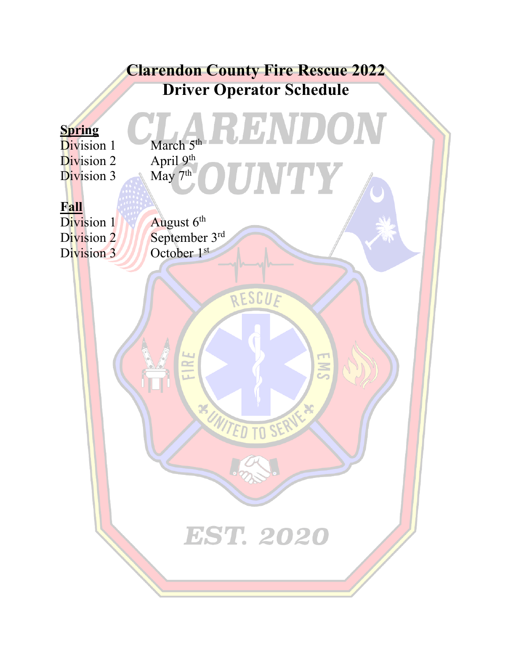